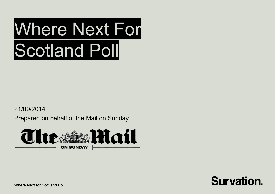21/09/2014

Prepared on behalf of the Mail on Sunday





Where Next for Scotland Poll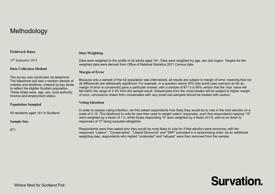# Methodology

#### **Fieldwork Dates**

#### **Data Weighting**

19th September 2014

#### **Data Collection Method**

The survey was conducted via telephone. The telephone poll was a random sample of mobiles and landlines, ordered by key strata to reflect the eligible Scottish population. These strata were, age, sex, local authority, income and employment status.

#### **Population Sampled**

All residents aged 16+ in Scotland

**Sample Size**

871

Data were weighted to the profile of all adults aged 16+. Data were weighted by age, sex and region. Targets for the weighted data were derived from Office of National Statistics 2011 Census data.

#### **Margin of Error**

Because only a sample of the full population was interviewed, all results are subject to margin of error, meaning that not all differences are statistically significant. For example, in a question where 50% (the worst case scenario as far as margin of error is concerned) gave a particular answer, with a sample of 871 it is 95% certain that the 'true' value will fall within the range of 3.3% from the sample result. Subsamples from the cross-breaks will be subject to higher margin of error, conclusions drawn from crossbreaks with very small sub-samples should be treated with caution.

#### **Voting Intention**

In order to assess voting intention, we first asked respondents how likely they would be to vote in the next election on a scale of 0-10. This likelihood to vote for was then used to weight voters' responses, such that respondents replying "10" were weighted by a factor of 1.0, whilst those responding "9" were weighted by a factor of 0.9, and so on down to responses of "0" being excluded altogether.

Respondents were then asked who they would be most likely to vote for if that election were tomorrow, with the responses "Labour", "Conservative", "Liberal Democrat" and "SNP" prompted in a randomising order. As an additional weighting step, respondents who replied "undecided" and "refused" were then removed from the sample.

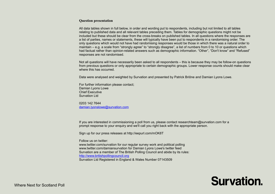#### **Question presentation**

All data tables shown in full below, in order and wording put to respondents, including but not limited to all tables relating to published data and all relevant tables preceding them. Tables for demographic questions might not be included but these should be clear from the cross-breaks on published tables. In all questions where the responses are a list of parties, names or statements, these will typically have been put to respondents in a randomising order. The only questions which would not have had randomising responses would be those in which there was a natural order to maintain – e.g. a scale from "strongly agree" to "strongly disagree", a list of numbers from 0 to 10 or questions which had factual rather than opinion-related answers such as demographic information. "Other", "Don't know" and "Refused" responses are not randomised.

Not all questions will have necessarily been asked to all respondents – this is because they may be follow-on questions from previous questions or only appropriate to certain demographic groups. Lower response counts should make clear where this has occurred.

Data were analysed and weighted by Survation and presented by Patrick Briône and Damian Lyons Lowe.

For further information please contact; Damian Lyons Lowe Chief Executive Survation Ltd

0203 142 7644 [damian.lyonslowe@survation.com](mailto:damian.lyonslowe@survation.com)

If you are interested in commissioning a poll from us, please contact researchteam@survation.com for a prompt response to your enquiry and we'll call you right back with the appropriate person.

Sign up for our press releases at http://eepurl.com/mOK8T

Follow us on twitter:

www.twitter.com/survation for our regular survey work and political polling www.twitter.com/damiansurvation for Damian Lyons Lowe's twitter feed Survation are a member of The British Polling Council and abide by its rules: [http://www.britishpollingcouncil.org](http://www.britishpollingcouncil.org/) Survation Ltd Registered in England & Wales Number 07143509

# **Survation.**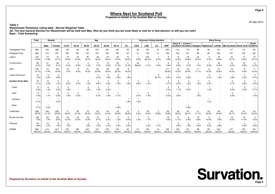20 Sep 2014

**Page 6**

**Table 2**

**Westminster Parliament voting table - Normal Weighted Table**

 **Q2. The next General Election for Westminster will be held next May. Who do you think you are most likely to vote for in that election, or will you not vote?Base : Total Answering**

|                            | <b>Total</b>  | Gender        |                                 |                        |               |                        | Age           |                        |                        |                          |                        | <b>Holyrood Voting Intention</b> |                         |               |                        |                        |                        |                                | <b>Ward Group</b>      |                         |                                    |                          |
|----------------------------|---------------|---------------|---------------------------------|------------------------|---------------|------------------------|---------------|------------------------|------------------------|--------------------------|------------------------|----------------------------------|-------------------------|---------------|------------------------|------------------------|------------------------|--------------------------------|------------------------|-------------------------|------------------------------------|--------------------------|
|                            |               | Male          | Female                          | 16-24                  | 25-34         | 35-44                  | 45-54         | 55-64                  | 65-74                  | $75+$                    | CON                    | <b>LAB</b>                       | LD                      | <b>SNP</b>    | West of<br>Scotland    | Central                |                        | Scotland   Glasgow   Highlands | Lothian                | Mid Scotland North East |                                    | <b>South</b><br>Scotland |
| Unweighted Total           | 866           | 375           | 488                             | 65                     | 48            | 80                     | 272           | 210                    | 136                    | 55                       | 60                     | 135                              | 19                      | 204           | 116                    | 119                    | 95                     | 90                             | 131                    | 117                     | 115                                | 83                       |
| <b>Weighted Total</b>      | 863           | 413           | 447                             | 125                    | 128           | 145                    | 157           | 132                    | 125                    | 50                       | 51                     | 129                              | 14                      | 196           | 106                    | 131                    | 98                     | 80                             | 136                    | 107                     | 123                                | 82                       |
| Labour                     | 145<br>16.8%  | 74<br>17.8%   | 70<br>15.7%                     | 19<br>15.5%            | 16<br>12.4%   | 26<br>18.1%            | 29<br>18.3%   | 24<br>18.2%            | 20<br>16.0%            | 10<br>20.2%              | 2.9%                   | 103<br>80.2%                     | - 1<br>8.5%             | 9<br>4.8%     | 14<br>12.9%            | 33<br>24.9%            | 24<br>24.4%            | $\overline{4}$<br>5.3%         | 23<br>16.8%            | 21<br>19.7%             | 13<br>10.5%                        | 13<br>16.1%              |
| Conservative               | 69<br>8.0%    | 31<br>7.6%    | 36<br>8.1%                      | 3.0%                   | 5.8%          | $\overline{c}$<br>1.2% | 11<br>7.0%    | 12<br>9.5%             | 22<br>17.2%            | 11<br>21.2%              | 44<br>86.6%            | 0.7%                             | 5.9%                    | 6<br>2.9%     | 9<br>8.8%              | 4<br>3.2%              | 1.2%                   | 8.6%                           | 20<br>14.9%            | 10<br>9.0%              | 12<br>9.8%                         | 5<br>6.3%                |
| SNP                        | 130<br>15.1%  | 70<br>17.0%   | 60<br>13.4%                     | 10<br>7.6%             | 8<br>6.3%     | 21<br>14.2%            | 33<br>20.9%   | 25<br>19.3%            | 25<br>20.3%            | 8<br>16.0%               |                        |                                  |                         | 117<br>59.6%  | 16<br>15.0%            | 32<br>24.3%            | 17<br>17.1%            | 8<br>10.3%                     | 21<br>15.8%            | 16<br>15.0%             | 8<br>6.8%                          | 11<br>14.0%              |
| <b>Liberal Democrat</b>    | 13<br>1.5%    | 9<br>2.2%     | $\overline{\mathbf{4}}$<br>0.8% |                        |               |                        | 2.4%          | $\overline{2}$<br>1.9% | 6<br>4.5%              | 1.8%                     |                        |                                  | 9<br>65.7%              | 0.6%          | 0.5%                   | 0.5%                   |                        | 4<br>4.4%                      | 1.0%                   | $\overline{1}$<br>0.8%  | 3<br>2.2%                          | 3<br>3.7%                |
| <b>Another Party (Net)</b> | 18<br>2.1%    | 14<br>3.3%    | 5<br>1.0%                       | 3.2%                   | 3<br>2.0%     | 2<br>1.3%              | 2.6%          | 3<br>2.3%              | $\overline{2}$<br>1.5% | 1.6%                     | $\overline{2}$<br>3.9% | $\overline{2}$<br>1.4%           |                         | 5<br>2.7%     | $\overline{2}$<br>2.3% | $\overline{c}$<br>1.3% | $\overline{2}$<br>1.6% | $\overline{c}$<br>2.3%         |                        | 6<br>5.7%               | 3<br>2.3%                          | $\overline{c}$<br>2.2%   |
| Green                      | 8<br>0.9%     | 6<br>1.4%     | $\overline{c}$<br>0.4%          | $\overline{2}$<br>1.8% |               | $\overline{2}$<br>1.3% | 3<br>1.9%     | 0.4%                   |                        | $\overline{\phantom{a}}$ |                        |                                  |                         | 5<br>2.4%     | $\overline{c}$<br>1.7% | 0.5%                   |                        | 1.3%                           |                        | 0.5%                    | 3<br>2.3%                          | 0.7%                     |
| <b>UKIP</b>                | 9<br>1.0%     | 1.7%          | 2<br>0.5%                       | $\overline{2}$<br>1.5% | 3<br>2.0%     |                        | 0.7%          | 3<br>1.9%              | 0.7%                   | $\sim$<br>$\sim$         | 2.4%                   | $\overline{c}$<br>1.4%           |                         | 0.3%          | 0.6%                   |                        | $\overline{c}$<br>1.6% |                                |                        | 6<br>5.2%               | $\overline{\phantom{a}}$<br>$\sim$ | 1.5%                     |
| Christian                  | 0.1%          |               | 0.2%                            |                        |               |                        |               |                        |                        | 1.6%                     | 1.6%                   |                                  |                         |               |                        |                        |                        | 1.0%                           |                        |                         |                                    |                          |
| Other                      | 0.1%          | 0.3%          | $\overline{\phantom{a}}$        |                        |               |                        |               |                        | 0.8%                   | $\overline{\phantom{a}}$ |                        |                                  |                         |               |                        | 0.8%                   |                        |                                |                        |                         |                                    |                          |
| Undecided                  | 396<br>45.9%  | 169<br>41.0%  | 226<br>50.6%                    | 71<br>56.5%            | 78<br>61.0%   | 73<br>50.3%            | 63<br>40.2%   | 54<br>41.2%            | 42<br>33.8%            | 15<br>28.8%              | 3<br>5.4%              | 20<br>15.4%                      | $\overline{2}$<br>15.8% | 39<br>19.8%   | 49<br>46.5%            | 50<br>38.1%            | 41<br>41.7%            | 43<br>53.6%                    | 60<br>43.9%            | 44<br>40.7%             | 67<br>54.4%                        | 43<br>52.4%              |
| Would not vote             | 69<br>7.9%    | 30<br>7.4%    | 38<br>8.5%                      | 16<br>12.4%            | 16<br>12.4%   | 18<br>12.4%            | 10<br>6.7%    | 4<br>3.2%              | $\overline{2}$<br>1.5% | 3<br>5.0%                | 1.2%                   | $\overline{2}$<br>1.7%           |                         | 19<br>9.6%    | 12<br>11.1%            | 8<br>5.9%              | 10<br>9.8%             | 9<br>10.9%                     | $\overline{4}$<br>2.8% | 10<br>9.0%              | 14<br>11.0%                        | $\overline{4}$<br>4.5%   |
| Refused                    | 24<br>2.8%    | 15<br>3.7%    | 9<br>1.9%                       | $\overline{c}$<br>1.6% |               | 4<br>2.6%              | 3<br>1.9%     | 6<br>4.4%              | 7<br>5.3%              | 3<br>5.4%                |                        | 0.5%                             | 4.1%                    |               | 3<br>2.8%              | $\overline{c}$<br>1.8% | $\overline{4}$<br>4.2% | 4<br>4.5%                      | 4.8%                   |                         | $\overline{4}$<br>3.0%             | 0.8%                     |
| <b>SIGMA</b>               | 863<br>100.0% | 413<br>100.0% | 447<br>100.0%                   | 125<br>100.0%          | 128<br>100.0% | 145<br>100.0%          | 157<br>100.0% | 132<br>100.0%          | 125<br>100.0%          | 50<br>100.0%             | 51<br>100.0%           | 129<br>100.0%                    | 14<br>100.0%            | 196<br>100.0% | 106<br>100.0%          | 131<br>100.0%          | 98<br>100.0%           | 80<br>100.0%                   | 136<br>100.0%          | 107<br>100.0%           | 123<br>100.0%                      | 82<br>100.0%             |

**Survation.**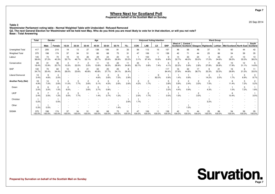20 Sep 2014

**Table 3Westminster Parliament voting table - Normal Weighted Table with Undecided / Refused Removed**

 **Q2. The next General Election for Westminster will be held next May. Who do you think you are most likely to vote for in that election, or will you not vote?Base : Total Answering**

|                            | Total         | Gender        |                        |                        |                          |                        | Age          |              |                        |                          |              | <b>Holyrood Voting Intention</b> |              |               |                        |                     |              |                        | <b>Ward Group</b> |                                  |              |                        |
|----------------------------|---------------|---------------|------------------------|------------------------|--------------------------|------------------------|--------------|--------------|------------------------|--------------------------|--------------|----------------------------------|--------------|---------------|------------------------|---------------------|--------------|------------------------|-------------------|----------------------------------|--------------|------------------------|
|                            |               | Male          | Female                 | 16-24                  | 25-34                    | 35-44                  | 45-54        | 55-64        | 65-74                  | $75+$                    | <b>CON</b>   | LAB                              | LD           | <b>SNP</b>    | West of<br>Scotland    | Central<br>Scotland |              | Glasgow Highlands      | Lothian           | Mid Scotland North East Scotland |              | South                  |
| Unweighted Total           | 417           | 205           | 210                    | 19                     | 13                       | 27                     | 138          | 106          | 81                     | 33                       | 56           | 112                              | 15           | 157           | 48                     | 68                  | 48           | 37                     | 70                | 60                               | 44           | 42                     |
| <b>Weighted Total</b>      | 375           | 198           | 174                    | 37                     | 34                       | 51                     | 80           | 68           | 75                     | 31                       | 47           | 106                              | 11           | 138           | 42                     | 71                  | 44           | 25                     | 66                | 54                               | 39           | 35                     |
| Labour                     | 145<br>38.6%  | 74<br>37.2%   | 70<br>40.3%            | 19<br>52.7%            | 16<br>46.7%              | 26<br>52.1%            | 29<br>35.7%  | 24<br>35.6%  | 20<br>26.9%            | 10<br>33.2%              | 3.1%         | 103<br>97.4%                     | 10.6%        | 9<br>6.8%     | 14<br>32.7%            | 33<br>46.0%         | 24<br>55.0%  | 4<br>17.2%             | 23<br>34.6%       | 21<br>39.2%                      | 13<br>33.3%  | 13<br>38.2%            |
| Conservative               | 69<br>18.4%   | 31<br>15.9%   | 36<br>20.7%            | 10.3%                  | 22.0%                    | $\overline{2}$<br>3.5% | 11<br>13.8%  | 12<br>18.5%  | 22<br>28.9%            | 11<br>34.8%              | 44<br>92.7%  | 0.8%                             | 7.4%         | 6             | 22.2%                  | 5.9%                | 2.8%         | 27.8%                  | 20<br>30.8%       | 10<br>17.9%                      | 12<br>31.1%  | 5<br>14.9%             |
| SNP                        | 130<br>34.7%  | 70<br>35.4%   | 60<br>34.4%            | 10<br>26.0%            | 8<br>23.6%               | 21<br>40.8%            | 33<br>40.8%  | 25<br>37.7%  | 25<br>34.1%            | 8<br>26.4%               |              |                                  |              | 117<br>84.4%  | 16<br>37.9%            | 32<br>44.8%         | 17<br>38.7%  | 8<br>33.3%             | 21<br>32.5%       | 16<br>29.9%                      | 8<br>21.5%   | 11<br>33.0%            |
| Liberal Democrat           | 13<br>3.4%    | 9<br>4.6%     | 4<br>2.0%              |                        |                          |                        | 4.6%         | 2<br>3.6%    | 6<br>7.5%              | 2.9%                     |              |                                  | 82.0%        | 0.9%          | 1.4%                   | 0.9%                |              | 4<br>14.2%             | 2.0%              | 1.7%                             | 3<br>6.9%    | 3<br>8.7%              |
| <b>Another Party (Net)</b> | 18<br>4.9%    | 14<br>7.0%    | 5<br>2.6%              | 11.0%                  | 3<br>7.7%                | 2<br>3.6%              | 5.1%         | 3<br>4.5%    | $\overline{2}$<br>2.6% | 2.6%                     | 2<br>4.2%    | $\overline{c}$<br>1.7%           |              | 3.8%          | 5.9%                   | 2.4%                | 3.5%         | $\overline{c}$<br>7.5% |                   | 6<br>11.4%                       | 3<br>7.2%    | $\overline{c}$<br>5.2% |
| Green                      | 8<br>2.0%     | 6<br>3.0%     | $\overline{c}$<br>1.0% | 2<br>6.0%              | $\overline{\phantom{a}}$ | $\overline{c}$<br>3.6% | 3<br>3.7%    | 0.8%         |                        | $\overline{\phantom{a}}$ |              |                                  |              | 5<br>3.3%     | $\overline{c}$<br>4.4% | 0.9%                |              | 4.3%                   |                   | 1.0%                             | 3<br>7.2%    | 1.8%                   |
| <b>UKIP</b>                | 9<br>2.4%     | 3.5%          | $\overline{2}$<br>1.2% | $\overline{2}$<br>5.0% | 3<br>7.7%                |                        | 1.4%         | 3<br>3.7%    | 1.2%                   | $\overline{\phantom{a}}$ | 2.5%         | $\overline{2}$<br>1.7%           |              | 0.5%          | 1.5%                   |                     | 3.5%         |                        |                   | 6<br>10.4%                       |              | 3.5%                   |
| Christian                  | 0.2%          |               | 0.5%                   |                        |                          |                        |              |              |                        | 2.6%                     | 1.7%         |                                  |              | $\sim$        |                        |                     |              | 3.2%                   |                   |                                  |              |                        |
| Other                      | 0.3%          | 0.5%          |                        |                        |                          |                        |              |              | 1.4%                   |                          |              |                                  |              |               |                        | .5%                 |              |                        |                   |                                  |              |                        |
| <b>SIGMA</b>               | 375<br>100.0% | 198<br>100.0% | 174<br>100.0%          | 37<br>100.0%           | 34<br>100.0%             | 51<br>100.0%           | 80<br>100.0% | 68<br>100.0% | 75<br>100.0%           | 31<br>100.0%             | 47<br>100.0% | 106<br>100.0%                    | 11<br>100.0% | 138<br>100.0% | 42<br>100.0%           | 71<br>100.0%        | 44<br>100.0% | 25<br>100.0%           | 66<br>100.0%      | 54<br>100.0%                     | 39<br>100.0% | 35<br>100.0%           |

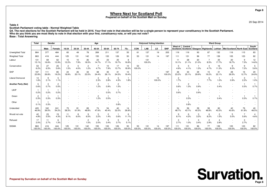#### **Prepared on behalf of the Scottish Mail on Sunday**

20 Sep 2014

#### **Table 4**

**Scottish Parliament voting table - Normal Weighted Table**

 **Q4. The next elections for the Scottish Parliament will be held in 2016. Your first vote in that election will be for a single person to represent your constituency in the Scottish Parliament.Who do you think you are most likely to vote in that election with your first, constituency vote, or will you not vote?Base : Total Answering**

|                            | <b>Total</b>           | Gender        |                        |                        |               |                        | Age                    |                        |                        |                          |              | <b>Holyrood Voting Intention</b> |              |                                                      |                        |                        |              |                                           | <b>Ward Group</b>      |                                  |                        |              |
|----------------------------|------------------------|---------------|------------------------|------------------------|---------------|------------------------|------------------------|------------------------|------------------------|--------------------------|--------------|----------------------------------|--------------|------------------------------------------------------|------------------------|------------------------|--------------|-------------------------------------------|------------------------|----------------------------------|------------------------|--------------|
|                            |                        | Male          | Female                 | 16-24                  | 25-34         | 35-44                  | 45-54                  | 55-64                  | 65-74                  | $75+$                    | CON          | <b>LAB</b>                       | LD           | <b>SNP</b>                                           | West of                | Central                |              | Scotland   Scotland   Glasgow   Highlands | Lothian                | Mid Scotland North East Scotland |                        | South        |
| Unweighted Total           | 864                    | 377           | 484                    | 65                     | 49            | 78                     | 269                    | 211                    | 137                    | 55                       | 61           | 137                              | 19           | 205                                                  | 119                    | 119                    | 93           | 87                                        | 132                    | 116                              | 115                    | 83           |
| <b>Weighted Total</b>      | 863                    | 416           | 444                    | 125                    | 131           | 142                    | 155                    | 133                    | 126                    | 50                       | 53           | 131                              | 14           | 197                                                  | 111                    | 131                    | 96           | 77                                        | 139                    | 105                              | 123                    | 82           |
| Labour                     | 131<br>15.1%           | 69<br>16.6%   | 62<br>13.9%            | 15<br>12.2%            | 10<br>7.9%    | 26<br>18.5%            | 23<br>14.7%            | 23<br>17.1%            | 25<br>19.7%            | 8<br>16.8%               |              | 131<br>100.0%                    |              |                                                      | 11<br>10.1%            | 28<br>21.1%            | 20<br>21.0%  | 8.5%                                      | 25<br>17.7%            | 20<br>18.7%                      | 9<br>7.3%              | 12<br>14.6%  |
| Conservative               | 53<br>6.2%             | 27<br>6.5%    | 25<br>5.6%             | $\overline{c}$<br>1.5% | 5<br>4.0%     | $\overline{c}$<br>1.2% | 4.7%                   | 10<br>7.9%             | 17<br>13.7%            | 10<br>18.9%              | 53<br>100.0% |                                  |              | $\overline{\phantom{a}}$                             | 4.9%                   | 5<br>4.1%              | 1.3%         | $\overline{4}$<br>4.7%                    | 16<br>11.3%            | 9<br>8.3%                        | 9<br>7.2%              | 5<br>5.6%    |
| SNP                        | 197<br>22.8%           | 111<br>26.8%  | 85<br>19.2%            | 24<br>18.9%            | 26<br>20.1%   | 33<br>23.5%            | 38<br>24.4%            | 35<br>26.1%            | 31<br>24.5%            | 10<br>19.4%              |              |                                  |              | 197<br>100.0%                                        | 26<br>23.2%            | 33<br>25.1%            | 29<br>29.9%  | 15<br>19.2%                               | 31<br>22.1%            | 28<br>26.5%                      | 16<br>12.7%            | 20<br>24.9%  |
| <b>Liberal Democrat</b>    | 14<br>1.6%             | 9<br>2.1%     | 5<br>1.1%              |                        |               |                        | 2.3%                   | 2.8%                   | 5<br>4.3%              | 1.8%                     |              |                                  | 14<br>100.0% | $\overline{\phantom{a}}$<br>$\overline{\phantom{a}}$ | $\overline{c}$<br>1.7% |                        |              | 6<br>7.7%                                 | 1.0%                   | 0.9%                             | 3<br>2.2%              | 1.0%         |
| <b>Another Party (Net)</b> | 5<br>0.6%              | 3<br>0.7%     | $\overline{c}$<br>0.5% |                        |               |                        | $\overline{2}$<br>1.2% | 0.9%                   | $\overline{2}$<br>1.5% | $\overline{\phantom{a}}$ |              |                                  |              | $\overline{\phantom{a}}$<br>٠                        | 0.6%                   | $\overline{2}$<br>1.3% | 0.9%         |                                           | 0.4%                   |                                  | 0.5%                   | 0.7%         |
| <b>UKIP</b>                | 0.2%                   | 0.2%          | 0.2%                   |                        |               |                        |                        | 0.5%                   | 0.7%                   | $\overline{\phantom{a}}$ |              |                                  |              | $\overline{\phantom{a}}$<br>٠                        | 0.6%                   |                        | 0.9%         |                                           |                        |                                  |                        |              |
| Green                      | $\overline{2}$<br>0.3% | 0.3%          | 0.3%                   |                        |               |                        | $\overline{2}$<br>1.2% | 0.5%                   |                        |                          |              |                                  |              | $\overline{\phantom{a}}$                             |                        | 0.5%                   |              |                                           | 0.4%                   |                                  | 0.5%                   | 0.7%         |
| Other                      | 0.1%                   | 0.3%          |                        |                        |               |                        |                        |                        | 0.8%                   | $\overline{\phantom{a}}$ |              |                                  |              |                                                      |                        | 0.8%                   |              |                                           |                        |                                  |                        |              |
| Undecided                  | 405<br>46.9%           | 162<br>39.0%  | 241<br>54.2%           | 73<br>58.3%            | 81<br>61.9%   | 69<br>48.8%            | 74<br>47.6%            | 54<br>40.4%            | 40<br>32.0%            | 14<br>26.8%              |              |                                  |              | $\overline{\phantom{a}}$                             | 54<br>48.7%            | 56<br>43.1%            | 39<br>40.3%  | 38<br>48.8%                               | 60<br>43.3%            | 42<br>40.6%                      | 76<br>61.8%            | 40<br>48.5%  |
| Would not vote             | 42<br>4.8%             | 23<br>5.5%    | 19<br>4.3%             | 11<br>9.1%             | 8<br>6.0%     | 9<br>6.5%              | 5<br>3.2%              | $\overline{2}$<br>1.4% | 0.6%                   | 6<br>11.1%               |              |                                  |              | $\overline{\phantom{a}}$<br>$\overline{\phantom{a}}$ | 9<br>8.1%              | 6<br>4.2%              | 3<br>3.2%    | 6<br>8.2%                                 | $\overline{2}$<br>1.5% | 5<br>5.0%                        | $\overline{7}$<br>5.6% | 4<br>4.6%    |
| Refused                    | 17<br>2.0%             | 11<br>2.7%    | 6<br>1.3%              |                        |               | $\overline{2}$<br>1.5% | 3<br>2.0%              | 5<br>3.4%              | 5<br>3.7%              | 3<br>5.1%                |              |                                  |              | ٠                                                    | 3<br>2.7%              | 1.0%                   | 3<br>3.4%    | $\overline{2}$<br>2.9%                    | 2.8%                   |                                  | 3<br>2.7%              |              |
| <b>SIGMA</b>               | 863<br>100.0%          | 416<br>100.0% | 444<br>100.0%          | 125<br>100.0%          | 131<br>100.0% | 142<br>100.0%          | 155<br>100.0%          | 133<br>100.0%          | 126<br>100.0%          | 50<br>100.0%             | 53<br>100.0% | 131<br>100.0%                    | 14<br>100.0% | 197<br>100.0%                                        | 111<br>100.0%          | 131<br>100.0%          | 96<br>100.0% | 77<br>100.0%                              | 139<br>100.0%          | 105<br>100.0%                    | 123<br>100.0%          | 82<br>100.0% |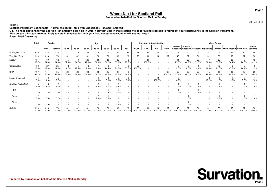#### **Prepared on behalf of the Scottish Mail on Sunday**

20 Sep 2014

**Table 5**

**Scottish Parliament voting table - Normal Weighted Table with Undecided / Refused Removed**

 **Q4. The next elections for the Scottish Parliament will be held in 2016. Your first vote in that election will be for a single person to represent your constituency in the Scottish Parliament.Who do you think you are most likely to vote in that election with your first, constituency vote, or will you not vote?Base : Total Answering**

|                            | <b>Total</b>  | Gender        |                        |                        |              |                        | Age          |              |                        |                                                      |              | <b>Holyrood Voting Intention</b> |              |                                    |                        |              |                                          |              | <b>Ward Group</b> |                                  |              |              |
|----------------------------|---------------|---------------|------------------------|------------------------|--------------|------------------------|--------------|--------------|------------------------|------------------------------------------------------|--------------|----------------------------------|--------------|------------------------------------|------------------------|--------------|------------------------------------------|--------------|-------------------|----------------------------------|--------------|--------------|
|                            |               | Male          | Female                 | 16-24                  | 25-34        | 35-44                  | 45-54        | 55-64        | 65-74                  | $75+$                                                | CON          | LAB                              | LD           | <b>SNP</b>                         | West of<br>Scotland    | Central      | Scotland   Glasgow   Highlands   Lothian |              |                   | Mid Scotland North East Scotland |              | South        |
| Unweighted Total           | 429           | 214           | 214                    | 21                     | 16           | 33                     | 126          | 115          | 87                     | 31                                                   | 61           | 137                              | 19           | 205                                | 52                     | 65           | 53                                       | 37           | 77                | 61                               | 40           | 44           |
| <b>Weighted Total</b>      | 399           | 219           | 179                    | 41                     | 42           | 61                     | 73           | 73           | 80                     | 29                                                   | 53           | 131                              | 14           | 197                                | 45                     | 67           | 51                                       | 31           | 73                | 57                               | 37           | 38           |
| Labour                     | 131<br>32.7%  | 69<br>31.4%   | 62<br>34.6%            | 15<br>37.3%            | 10<br>24.7%  | 26<br>42.8%            | 23<br>31.0%  | 23<br>31.2%  | 25<br>30.9%            | 8<br>29.5%                                           |              | 131<br>100.0%                    |              |                                    | 11<br>25.0%            | 28<br>40.9%  | 20<br>39.6%                              | 21.3%        | 25<br>33.7%       | 20<br>34.4%                      | 9<br>24.5%   | 12<br>31.1%  |
| Conservative               | 53<br>13.4%   | 27<br>12.4%   | 25<br>14.0%            | $\overline{2}$<br>4.7% | 12.5%        | $\overline{2}$<br>2.9% | 9.9%         | 10<br>14.4%  | 17<br>21.5%            | 10<br>33.2%                                          | 53<br>100.0% |                                  |              |                                    | 12.0%                  | 8.0%         | 2.4%                                     | 11.8%        | 16<br>21.5%       | 9<br>15.3%                       | 9<br>24.1%   | 5<br>11.9%   |
| SNP                        | 197<br>49.2%  | 111<br>50.8%  | 85<br>47.6%            | 24<br>58.0%            | 26<br>62.8%  | 33<br>54.3%            | 38<br>51.7%  | 35<br>47.6%  | 31<br>38.5%            | 10<br>34.1%                                          |              |                                  |              | 197<br>100.0%                      | 26<br>57.4%            | 33<br>48.6%  | 29<br>56.3%                              | 15<br>47.8%  | 31<br>42.2%       | 28<br>48.8%                      | 16<br>42.5%  | 20<br>53.2%  |
| Liberal Democrat           | 14<br>3.4%    | 9<br>4.0%     | 2.7%                   |                        |              |                        | 4.8%         | 5.0%         | 6.8%                   | 3.1%                                                 |              |                                  | 14<br>100.0% | $\overline{\phantom{a}}$<br>$\sim$ | $\overline{c}$<br>4.2% |              |                                          | 6<br>19.2%   | 1.8%              | 1.6%                             | 3<br>7.3%    | 2.2%         |
| <b>Another Party (Net)</b> | 5<br>1.3%     | 3<br>1.4%     | $\overline{2}$<br>1.2% |                        |              |                        | 2.6%         | 1.7%         | $\overline{2}$<br>2.4% | $\overline{\phantom{a}}$<br>$\overline{\phantom{a}}$ |              |                                  |              | $\sim$                             | 1.4%                   | 2<br>2.5%    | 1.7%                                     |              | 0.8%              |                                  | 1.6%         | 1.6%         |
| <b>UKIP</b>                | 0.4%          | 0.3%          | 0.5%                   |                        |              |                        |              | 0.9%         | 1.1%                   | $\overline{\phantom{a}}$                             |              |                                  |              |                                    | 1.4%                   |              | 1.7%                                     |              |                   |                                  |              |              |
| Green                      | 0.6%          | 0.6%          | 0.7%                   |                        |              |                        | 2.6%         | 0.8%         |                        |                                                      |              |                                  |              |                                    |                        | 1.0%         |                                          |              | 0.8%              |                                  | 1.6%         | 1.6%         |
| Other                      | 0.3%          | 0.5%          |                        |                        |              |                        |              |              | 1.3%                   |                                                      |              |                                  |              |                                    |                        | 1.6%         |                                          |              |                   |                                  |              |              |
| <b>SIGMA</b>               | 399<br>100.0% | 219<br>100.0% | 179<br>100.0%          | 41<br>100.0%           | 42<br>100.0% | 61<br>100.0%           | 73<br>100.0% | 73<br>100.0% | 80<br>100.0%           | 29<br>100.0%                                         | 53<br>100.0% | 131<br>100.0%                    | 14<br>100.0% | 197<br>100.0%                      | 45<br>100.0%           | 67<br>100.0% | 51<br>100.0%                             | 31<br>100.0% | 73<br>100.0%      | 57<br>100.0%                     | 37<br>100.0% | 38<br>100.0% |

**Prepared by Survation on behalf of the Scottish Mail on Sunday**

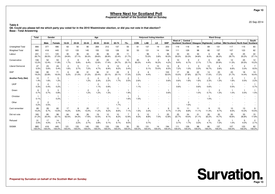20 Sep 2014

**Table 6 Q6. Could you please tell me which party you voted for in the 2010 Westminster election, or did you not vote in that election?Base : Total Answering**

|                            | Total         | Gender                 |                                    |                        |               |                        | Age                    |                        |                        |                                                      |              | <b>Holyrood Voting Intention</b> |                         |                               |                     |                        |                        |                        | <b>Ward Group</b>      |                                  |                        |                        |
|----------------------------|---------------|------------------------|------------------------------------|------------------------|---------------|------------------------|------------------------|------------------------|------------------------|------------------------------------------------------|--------------|----------------------------------|-------------------------|-------------------------------|---------------------|------------------------|------------------------|------------------------|------------------------|----------------------------------|------------------------|------------------------|
|                            |               | Male                   | Female                             | 16-24                  | 25-34         | 35-44                  | 45-54                  | 55-64                  | 65-74                  | $75+$                                                | <b>CON</b>   | LAB                              | LD                      | <b>SNP</b>                    | West of<br>Scotland | Central<br>Scotland    |                        | Glasgow Highlands      | Lothian                | Mid Scotland North East Scotland |                        | South                  |
| Unweighted Total           | 866           | 377                    | 486                                | 63                     | 50            | 80                     | 269                    | 212                    | 137                    | 55                                                   | 61           | 137                              | 19                      | 203                           | 119                 | 118                    | 94                     | 89                     | 131                    | 117                              | 115                    | 83                     |
| <b>Weighted Total</b>      | 865           | 418                    | 445                                | 121                    | 133           | 145                    | 155                    | 133                    | 126                    | 50                                                   | 53           | 131                              | 14                      | 194                           | 111                 | 129                    | 98                     | 80                     | 137                    | 107                              | 123                    | 82                     |
| Labour                     | 231<br>26.7%  | 111<br>26.5%           | 120<br>27.0%                       | 30<br>24.9%            | 36<br>27.1%   | 44<br>30.3%            | 46<br>29.6%            | 36<br>26.9%            | 28<br>22.4%            | 11<br>21.7%                                          |              | 96<br>73.3%                      | 3.8%                    | 36<br>18.3%                   | 33<br>30.0%         | 43<br>33.3%            | 34<br>34.8%            | 6<br>8.0%              | 36<br>26.3%            | 32<br>29.7%                      | 25<br>20.2%            | 22<br>27.1%            |
| Conservative               | 106<br>12.2%  | 52<br>12.4%            | 53<br>11.8%                        | $\overline{2}$<br>1.7% | 8<br>5.9%     | 9<br>6.4%              | 20<br>12.6%            | 23<br>17.4%            | 31<br>24.7%            | 13<br>25.1%                                          | 45<br>83.3%  | 6<br>4.4%                        | $\overline{2}$<br>16.3% | 8<br>4.2%                     | 10<br>9.4%          | 9<br>6.7%              | $\overline{2}$<br>2.1% | 6<br>7.7%              | 29<br>20.9%            | 12<br>11.3%                      | 25<br>20.5%            | 12<br>15.2%            |
| <b>Liberal Democrat</b>    | 47<br>5.5%    | 23<br>5.6%             | 24<br>5.4%                         | $\overline{2}$<br>1.6% | 5<br>3.7%     | 11<br>7.2%             | 4.7%                   | 9<br>6.9%              | 12<br>9.2%             | $\overline{2}$<br>3.4%                               |              | 5.1%                             | 10<br>73.0%             | 13<br>6.5%                    | 8<br>7.2%           | 1.0%                   | 3<br>3.3%              | 13<br>16.7%            | 4<br>2.6%              | 6.6%                             | $\overline{4}$<br>3.3% | $\overline{7}$<br>8.5% |
| SNP                        | 166<br>19.2%  | 95<br>22.8%            | 71<br>16.0%                        | 6<br>5.2%              | 28<br>21.0%   | 31<br>21.2%            | 36<br>23.4%            | 31<br>23.1%            | 25<br>20.1%            | 9<br>17.3%                                           | 2<br>3.3%    | 6<br>4.4%                        |                         | 103<br>53.0%                  | 17<br>15.0%         | 36<br>27.8%            | 22<br>22.7%            | 14<br>17.5%            | 23<br>17.2%            | 23<br>21.7%                      | 18<br>14.4%            | 13<br>16.4%            |
| <b>Another Party (Net)</b> | 12<br>1.4%    | $\overline{7}$<br>1.6% | 5<br>1.2%                          |                        |               | $\overline{2}$<br>1.2% | 2.3%                   | 3<br>2.2%              | $\overline{2}$<br>1.7% | $\overline{c}$<br>3.5%                               | 2.6%         |                                  |                         | 0.6%                          | 0.6%                | $\overline{2}$<br>1.6% | $\overline{2}$<br>1.6% | $\overline{c}$<br>2.3% | $\overline{2}$<br>1.3% | $\overline{c}$<br>1.6%           | $\overline{1}$<br>0.5% | $\overline{c}$<br>2.2% |
| <b>UKIP</b>                | 3<br>0.3%     | 2<br>0.4%              | 0.2%                               |                        |               |                        | $\overline{c}$<br>1.1% | 0.9%                   |                        | $\overline{\phantom{a}}$<br>$\overline{\phantom{a}}$ | 1.1%         |                                  |                         | ٠<br>$\overline{\phantom{a}}$ | 0.6%                | ۰                      | 0.6%                   | 0.6%                   |                        | 0.5%                             | $\sim$                 | 0.7%                   |
| Green                      | 6<br>0.7%     | 3<br>0.7%              | 3<br>0.8%                          |                        |               | $\overline{c}$<br>1.2% | $\overline{2}$<br>1.2% | $\overline{2}$<br>1.3% |                        | 1.9%                                                 |              |                                  |                         | 0.6%                          |                     |                        | 1.0%                   | 0.7%                   | $\overline{c}$<br>1.3% | 1.0%                             | -1<br>0.5%             | 1.5%                   |
| Christian                  | 0.1%          |                        | 0.2%                               |                        |               |                        |                        |                        |                        | 1.6%                                                 | 1.5%         |                                  |                         | $\overline{\phantom{a}}$      |                     |                        |                        | 1.0%                   |                        |                                  |                        |                        |
| Other                      | 2<br>0.2%     | 2<br>0.5%              | $\overline{\phantom{a}}$<br>$\sim$ |                        |               |                        |                        |                        | 2<br>1.7%              | $\overline{\phantom{a}}$<br>$\sim$                   |              |                                  |                         | ٠                             |                     | 2<br>1.6%              |                        |                        |                        |                                  |                        |                        |
| Cant remember              | 89<br>10.2%   | 28<br>6.7%             | 60<br>13.5%                        | 17<br>14.2%            | 8<br>5.9%     | 20<br>13.4%            | 17<br>11.2%            | 12<br>9.2%             | 11<br>8.6%             | $\overline{4}$<br>7.1%                               | 1.5%         | 4<br>3.3%                        |                         | 9<br>4.7%                     | 13<br>11.4%         | 11<br>8.8%             | 11<br>11.1%            | 9<br>11.4%             | 13<br>9.7%             | 10<br>9.5%                       | 13<br>10.3%            | 9<br>10.5%             |
| Did not vote               | 183<br>21.2%  | 85<br>20.4%            | 98<br>22.1%                        | 64<br>52.5%            | 46<br>34.3%   | 26<br>17.6%            | 19<br>12.5%            | 12<br>9.1%             | 10<br>8.2%             | $\overline{7}$<br>12.9%                              | 5<br>9.3%    | 12<br>8.8%                       | 7.0%                    | 25<br>12.8%                   | 25<br>22.7%         | 24<br>19.0%            | 21<br>21.1%            | 26<br>32.2%            | 20<br>14.7%            | 20<br>18.6%                      | 33<br>26.8%            | 15<br>17.8%            |
| Refused                    | 31<br>3.5%    | 17<br>4.0%             | 14<br>3.1%                         |                        | 3<br>2.2%     | 2.7%                   | 6<br>3.8%              | 5.1%                   | 6<br>5.1%              | 5<br>9.0%                                            |              | 0.7%                             |                         |                               | 3.7%                | $\overline{2}$<br>1.7% | 3<br>3.3%              | 3<br>4.1%              | 10<br>7.3%             | 1.0%                             | 5<br>4.0%              | $\overline{c}$<br>2.1% |
| <b>SIGMA</b>               | 865<br>100.0% | 418<br>100.0%          | 445<br>100.0%                      | 121<br>100.0%          | 133<br>100.0% | 145<br>100.0%          | 155<br>100.0%          | 133<br>100.0%          | 126<br>100.0%          | 50<br>100.0%                                         | 53<br>100.0% | 131<br>100.0%                    | 14<br>100.0%            | 194<br>100.0%                 | 111<br>100.0%       | 129<br>100.0%          | 98<br>100.0%           | 80<br>100.0%           | 137<br>100.0%          | 107<br>100.0%                    | 123<br>100.0%          | 82<br>100.0%           |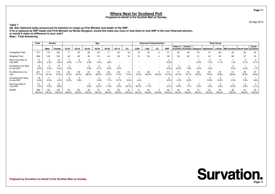#### **Prepared on behalf of the Scottish Mail on Sunday**

20 Sep 2014

**Table 7**

**Q8. Alex Salmond today announced his intention to resign as First Minister and leader of the SNP.**

**If he is replaced as SNP leader and First Minister by Nicola Sturgeon, would this make you more or less likely to vote SNP in the next Holyrood election,**

**or would it make no difference to your vote?**

**Base : Total Answering**

|                                     | Total         | Gender        |               |              |              |             | Age         |             |             |              |              |             | <b>Holyrood Voting Intention</b> |             |              |             |              |                                                 | <b>Ward Group</b> |                                  |                        |              |
|-------------------------------------|---------------|---------------|---------------|--------------|--------------|-------------|-------------|-------------|-------------|--------------|--------------|-------------|----------------------------------|-------------|--------------|-------------|--------------|-------------------------------------------------|-------------------|----------------------------------|------------------------|--------------|
|                                     |               | Male          | Female        | 16-24        | 25-34        | 35-44       | 45-54       | 55-64       | 65-74       | $75+$        | <b>CON</b>   | LAB         | LD                               | <b>SNP</b>  | West of      | Central     |              | Scotland Scotland Glasgow   Highlands   Lothian |                   | Mid Scotland North East Scotland |                        | South        |
| Unweighted Total                    | 277           | 115           | 162           | 17           | 25           | 26          | 90          |             | 30          | 18           | 15           | 34          |                                  | 61          | 32           | 35          | 25           | 37                                              | 36                | 46                               | 33                     | 33           |
| <b>Weighted Total</b>               | 286           | 136           | 150           | 33           | 66           | 48          | 51          | 44          | 28          | 16           | 13           | 32          |                                  | 62          | 26           | 40          | 31           | 34                                              | 45                | 38                               | 37                     | 35           |
| Much more likely to<br>vote SNP     | 14<br>4.8%    | 2.5%          | 10<br>6.9%    | 5.5%         | 11.7%        | 3.9%        | 2.2%        | 2.8%        |             |              |              |             |                                  | 5.9%        |              |             | 2.0%         | 7.0%                                            | 11.1%             | 1.3%                             | 5.1%                   | 9.7%         |
| Somewhat more likely<br>to vote SNP | 13<br>4.5%    | 2.3%          | 10<br>6.4%    | 5.0%         |              | 3.9%        | 9.7%        | 5.6%        | 6.5%        |              |              |             |                                  | 6.9%        | 16.3%        | 7.6%        | 2.2%         | 3.0%                                            |                   | 5.0%                             | 3.4%                   | 1.7%         |
| No difference to my<br>vote         | 221<br>77.1%  | 111<br>81.3%  | 110<br>73.3%  | 23<br>70.2%  | 56<br>84.4%  | 42<br>88.3% | 35<br>69.5% | 32<br>73.6% | 20<br>71.0% | 12<br>71.3%  | 10<br>73.3%  | 28<br>88.3% | 100.0%                           | 51<br>81.3% | 17<br>67.0%  | 31<br>76.7% | 28<br>90.5%  | 25<br>74.6%                                     | 33<br>72.8%       | 31<br>80.8%                      | 29<br>78.2%            | 27<br>75.6%  |
| Somewhat less likely<br>to vote SNP | 18<br>6.4%    | 8.4%          | 4.5%          | 19.3%        | 3.9%         |             | 3.4%        | 7.1%        | 13.1%       | 5.0%         | 4.4%         |             |                                  | 3.5%        | 2.3%         | 8.0%        |              | 10.9%                                           | 12.2%             | 2.9%                             | 7.8%                   | 3.8%         |
| Much less likely to<br>vote SNP     | 21<br>7.3%    | 5.5%          | 13<br>8.8%    |              |              | 3.9%        | 15.2%       | 11.0%       | 9.4%        | 23.7%        | 22.3%        | 11.7%       |                                  | 2.4%        | 14.5%        | 7.7%        | 5.3%         | 4.5%                                            | 3.9%              | 10.0%                            | $\overline{c}$<br>5.5% | 9.1%         |
| <b>SIGMA</b>                        | 286<br>100.0% | 136<br>100.0% | 150<br>100.0% | 33<br>100.0% | 66<br>100.0% | 48<br>00.0% | 51<br>00.0% | 44<br>00.0% | 28<br>00.0% | 16<br>100.0% | 13<br>100.0% | 32<br>00.0% | 00.0%                            | 62<br>00.0% | 26<br>100.0% | 100.0%      | 31<br>100.0% | 34<br>100.0%                                    | 45<br>100.0%      | 38<br>100.0%                     | 37<br>100.0%           | 35<br>100.0% |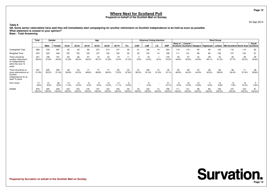20 Sep 2014

**Table 8 Q9. Some senior nationalists have said they will immediately start campaigning for another referendum on Scottish independence to be held as soon as possible.What statement is closest to your opinion?Base : Total Answering**

|                                                                                                | <b>Total</b>  | Gender        |               |               |                  |               | Age           |               |               |              |              | <b>Holyrood Voting Intention</b> |                 |               |               |               |              |              | <b>Ward Group</b> |                                                                                            |               |              |
|------------------------------------------------------------------------------------------------|---------------|---------------|---------------|---------------|------------------|---------------|---------------|---------------|---------------|--------------|--------------|----------------------------------|-----------------|---------------|---------------|---------------|--------------|--------------|-------------------|--------------------------------------------------------------------------------------------|---------------|--------------|
|                                                                                                |               | Male          | Female        | 16-24         | 25-34            | 35-44         | 45-54         | 55-64         | 65-74         | $75+$        | <b>CON</b>   | LAB                              | LD              | <b>SNP</b>    | West of       | Central       |              |              |                   | Scotland   Scotland   Glasgow   Highlands   Lothian   Mid Scotland   North East   Scotland |               | South        |
| Unweighted Total                                                                               | 869           | 379           | 487           | 65            | 50               | 80            | 272           | 210           | 137           | 55           | 61           | 136                              | 19              | 204           | 119           | 119           | 95           | 90           | 133               | 116                                                                                        | 115           | 82           |
| <b>Weighted Total</b>                                                                          | 870           | 420           | 446           | 125           | 133              | 145           | 157           | 132           | 126           | 50           | 53           | 130                              | 14              | 196           | 111           | 131           | 98           | 80           | 139               | 107                                                                                        | 123           | 81           |
| There should be<br>another referendum<br>on independence<br>within the next 15<br>years        | 341<br>39.2%  | 159<br>37.9%  | 181<br>40.6%  | 65<br>51.9%   | 66<br>49.2%      | 67<br>46.0%   | 72<br>45.7%   | 42<br>31.8%   | 19<br>15.4%   | 11<br>21.3%  | 4.5%         | 18<br>14.0%                      | 8.4%            | 145<br>74.2%  | 49<br>44.6%   | 57<br>43.5%   | 44<br>44.9%  | 39<br>48.1%  | 44<br>31.5%       | 40<br>37.7%                                                                                | 39<br>32.0%   | 29<br>35.6%  |
| There should be no<br>more referendums on<br>Scottish<br>independence for at<br>least 15 years | 451<br>51.9%  | 220<br>52.2%  | 229<br>51.4%  | 46<br>36.9%   | 54<br>40.3%      | 71<br>48.8%   | 77<br>48.8%   | 77<br>58.0%   | 93<br>73.5%   | 34<br>67.8%  | 51<br>95.5%  | 106<br>81.5%                     | 12<br>91.6%     | 30<br>15.1%   | 55<br>49.9%   | 58<br>44.2%   | 44<br>44.5%  | 36<br>45.3%  | 82<br>58.6%       | 58<br>54.4%                                                                                | 71<br>57.6%   | 48<br>58.8%  |
| Don't know                                                                                     | 77<br>8.9%    | 41<br>9.9%    | 36<br>8.0%    | 14<br>11.2%   | 14<br>10.5%      | 8<br>5.2%     | 5.5%          | 13<br>10.2%   | 14<br>11.1%   | 6<br>10.9%   |              | 4.4%                             |                 | 21<br>10.7%   | b<br>5.5%     | 16<br>12.3%   | 10<br>10.6%  | 5<br>6.5%    | 14<br>9.8%        | 8<br>7.9%                                                                                  | 13<br>10.4%   | 5.6%         |
| <b>SIGMA</b>                                                                                   | 870<br>100.0% | 420<br>100.0% | 446<br>100.0% | 125<br>100.0% | 133<br>$100.0\%$ | 145<br>100.0% | 157<br>100.0% | 132<br>100.0% | 126<br>100.0% | 50<br>100.0% | 53<br>100.0% | 130<br>00.0%                     | 14<br>$100.0\%$ | 196<br>100.0% | 111<br>100.0% | 131<br>100.0% | 98<br>100.0% | 80<br>100.0% | 139<br>100.0%     | 107<br>100.0%                                                                              | 123<br>100.0% | 81<br>100.0% |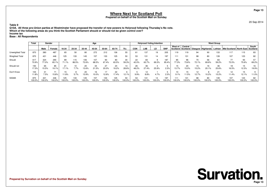20 Sep 2014

**Table 9 Q10A. All three pro-Union parties at Westminster have proposed the transfer of new powers to Holyrood following Thursday's No vote.Which of the following areas do you think the Scottish Parliament should or should not be given control over?**

#### **Income tax**

#### **Base : All Respondents**

|                       | Total         |               | Gender        |                  |               |               | Age           |               |               |              |             |             | <b>Holyrood Voting Intention</b> |              |               |              |                 |             | <b>Ward Group</b> |                                                                                    |               |              |
|-----------------------|---------------|---------------|---------------|------------------|---------------|---------------|---------------|---------------|---------------|--------------|-------------|-------------|----------------------------------|--------------|---------------|--------------|-----------------|-------------|-------------------|------------------------------------------------------------------------------------|---------------|--------------|
|                       |               | Male          | Female        | 16-24            | 25-34         | 35-44         | 45-54         | 55-64         | 65-74         | $75+$        | <b>CON</b>  | LAB         | LD                               | <b>SNP</b>   | West of       | Central      |                 |             |                   | Scotland Scotland Glasgow Highlands Lothian   Mid Scotland   North East   Scotland |               | South        |
| Unweighted Total      | 870           | 380           | 487           | 65               | 50            | 80            | 272           | 212           | 136           | 55           | 61          | 137         | 19                               | 205          | 119           | 119          | 94              | 90          | 133               | 117                                                                                | 115           | 83           |
| <b>Weighted Total</b> | 870           | 421           | 446           | 125              | 133           | 145           | 157           | 133           | 125           | 50           | 53          | 131         | 14                               | 197          | 111           | 131          | 98              | 80          | 139               | 107                                                                                | 123           | 82           |
| Should                | 617<br>70.9%  | 324<br>77.0%  | 290<br>65.1%  | 89<br>71.1%      | 115<br>86.5%  | 106<br>72.6%  | 107<br>68.5%  | 67.4%         | 80<br>63.5%   | 30<br>59.3%  | 22<br>42.0% | 83<br>63.7% | 69.3%                            | 187<br>95.4% | 85<br>77.3%   | 96<br>73.6%  | 70<br>72.1%     | 56<br>69.6% | 83<br>59.2%       | 72.0%                                                                              | 93<br>75.6%   | 57<br>69.2%  |
| Should not            | 150<br>17.3%  | 65<br>15.5%   | 85<br>19.1%   | 21<br>17.1%      | 7.7%          | 20<br>13.6%   | 34<br>21.5%   | 20.0%         | 24<br>19.2%   | 28.6%        | 26<br>48.2% | 36<br>27.4% | 25.9%                            | 2.3%         | 15<br>13.7%   | 20<br>15.0%  | 15<br>15.2%     | 16<br>20.1% | 36<br>25.6%       | 18<br>16.5%                                                                        | 15<br>12.3%   | 19.9%        |
| Don't Know            | 103<br>11.8%  | 31<br>7.5%    | 15.8%         | 11.8%            | 5.7%          | 20<br>13.9%   | 16<br>10.0%   | 12.6%         | 22<br>17.4%   | 12.1%        | 9.9%        | 12<br>8.8%  | 4.7%                             | 2.3%         | 10<br>9.1%    | 15<br>11.5%  | 12<br>12.7%     | 10.2%       | 21<br>15.2%       | 12<br>11.4%                                                                        | 15<br>12.1%   | 11.0%        |
| <b>SIGMA</b>          | 870<br>100.0% | 421<br>100.0% | 446<br>100.0% | 125<br>$100.0\%$ | 133<br>100.0% | 145<br>'00.0% | 157<br>100.0% | 133<br>100.0% | 125<br>100.0% | 50<br>100.0% | 53<br>00.0% | 00.0%       | 14<br>00.0%                      | 197<br>00.0% | 111<br>100.0% | 131<br>00.0% | 98<br>$100.0\%$ | 80<br>00.0% | 139<br>100.0%     | 107<br>100.0%                                                                      | 123<br>100.0% | 82<br>100.0% |



**Page 13**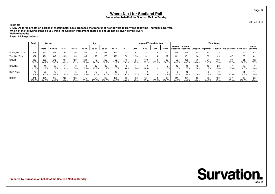#### **Prepared on behalf of the Scottish Mail on Sunday**

20 Sep 2014

**Page 14**

**Table 10 Q10B. All three pro-Union parties at Westminster have proposed the transfer of new powers to Holyrood following Thursday's No vote.Which of the following areas do you think the Scottish Parliament should or should not be given control over?**

#### **Welfare/benefits**

|                       | <b>Total</b> |               | Gender        |               |               |              | Age           |               |               |              |             | <b>Holyrood Voting Intention</b> |                          |              |               |              |              |              | <b>Ward Group</b> |                                                                                            |               |              |
|-----------------------|--------------|---------------|---------------|---------------|---------------|--------------|---------------|---------------|---------------|--------------|-------------|----------------------------------|--------------------------|--------------|---------------|--------------|--------------|--------------|-------------------|--------------------------------------------------------------------------------------------|---------------|--------------|
|                       |              | Male          | Female        | 16-24         | 25-34         | 35-44        | 45-54         | 55-64         | 65-74         | $75+$        | <b>CON</b>  | LAB                              | LD                       | <b>SNP</b>   | West of       | Central      |              |              |                   | Scotland   Scotland   Glasgow   Highlands   Lothian   Mid Scotland   North East   Scotland |               | South        |
| Unweighted Total      | 871          | 380           | 488           | 65            | 50            | 80           | 272           | 212           | 137           | 55           |             | 137                              | 19                       | 205          | 119           | 119          | 95           | 90           | 133               | 117                                                                                        | 115           | 83           |
| <b>Weighted Total</b> | 871          | 421           | 447           | 125           | 133           | 145          | 157           | 133           | 126           | 50           | 53          | 131                              | 14                       | 197          | 111           | 131          | 98           | 80           | 139               | 107                                                                                        | 123           | 82           |
| Should                | 699<br>80.2% | 355<br>84.2%  | 342<br>76.5%  | 101<br>80.2%  | 120<br>90.2%  | 120<br>82.8% | 116<br>74.3%  | 109<br>82.2%  | 92<br>72.7%   | 40<br>78.9%  | 35<br>65.9% | 103<br>79.2%                     | 14<br>100.0%             | 189<br>96.3% | 93<br>83.8%   | 109<br>83.5% | 79<br>80.6%  | 64<br>79.5%  | 103<br>73.6%      | 89<br>82.7%                                                                                | 101<br>82.2%  | 62<br>75.7%  |
| Should not            | 99<br>11.3%  | 41<br>9.8%    | 57<br>12.8%   | 13.9%         | 6.0%          | 8.6%         | 25<br>16.2%   | 15<br>11.2%   | 12.0%         | 10.4%        | 14<br>26.4% | 19<br>14.3%                      | $\overline{\phantom{a}}$ | 0%، ۱        | 12<br>11.1%   | 10<br>7.5%   | 12<br>12.0%  | 12.6%        | 28<br>19.8%       | 6.8%                                                                                       | 10<br>8.5%    | 11.4%        |
| Don't Know            | 73<br>8.4%   | 25<br>6.0%    | 47<br>10.6%   | 5.9%          | 3.8%          | 8.6%         | 15<br>9.5%    | 6.6%          | 15.3%         | 10.7%        | 7.7%        | 6.5%                             | $\overline{\phantom{a}}$ | 2.7%         | 5.1%          | 9.0%         | 7.4%         | 7.9%         | 6.6%              | 10.5%                                                                                      | 11<br>9.3%    | 12.8%        |
| <b>SIGMA</b>          | 871<br>00.0% | 421<br>100.0% | 447<br>100.0% | 125<br>100.0% | 133<br>100.0% | 145<br>00.0% | 157<br>100.0% | 133<br>100.0% | 126<br>100.0% | 50<br>100.0% | 53<br>00.0% | 131<br>100.0%                    | 14<br>100.0%             | 197<br>00.0% | 111<br>100.0% | 131<br>00.0% | 98<br>100.0% | 80<br>100.0% | 139<br>100.0%     | 107<br>100.0%                                                                              | 123<br>100.0% | 82<br>100.0% |

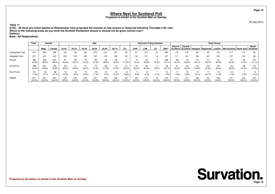#### **Prepared on behalf of the Scottish Mail on Sunday**

20 Sep 2014

**Table 11 Q10C. All three pro-Union parties at Westminster have proposed the transfer of new powers to Holyrood following Thursday's No vote.Which of the following areas do you think the Scottish Parliament should or should not be given control over?**

#### **Defence**

|                         | Total         |               | Gender       |               |               |               | Age           |               |               |             |              |              | <b>Holyrood Voting Intention</b> |               |               |                  |             |             | <b>Ward Group</b> |                                                                                    |               |              |
|-------------------------|---------------|---------------|--------------|---------------|---------------|---------------|---------------|---------------|---------------|-------------|--------------|--------------|----------------------------------|---------------|---------------|------------------|-------------|-------------|-------------------|------------------------------------------------------------------------------------|---------------|--------------|
|                         |               | Male          | Female       | 16-24         | 25-34         | 35-44         | 45-54         | 55-64         | 65-74         | $75+$       | <b>CON</b>   | <b>LAB</b>   | LD.                              | <b>SNP</b>    | West of       | Central          |             |             |                   | Scotland Scotland Glasgow Highlands Lothian   Mid Scotland   North East   Scotland |               | South        |
| <b>Unweighted Total</b> | 871           | 380           | 488          | 65            | 50            | 80            | 272           | 212           | 137           | 55          | 61           | 137          | 19                               | 205           | 119           | 119              | 95          | 90          | 133               | 117                                                                                | 115           | 83           |
| <b>Weighted Total</b>   | 871           | 421           | 447          | 125           | 133           | 145           | 157           | 133           | 126           | 50          | 53           | 131          | 14                               | 197           | 111           | 131              | 98          | 80          | 139               | 107                                                                                | 123           | 82           |
| Should                  | 382<br>43.9%  | 160<br>38.0%  | 221<br>49.5% | 61<br>48.5%   | 80<br>60.1%   | 75<br>51.6%   | 65<br>41.8%   | 52<br>38.8%   | 38<br>30.2%   | 21.9%       | 10.4%        | 30.8%        | 16.3%                            | 138<br>70.1%  | 38<br>34.7%   | 70<br>53.6%      | 51<br>52.1% | 31<br>38.7% | 57<br>40.6%       | 44<br>40.8%                                                                        | 58<br>47.0%   | 34<br>41.1%  |
| Should not              | 388<br>44.5%  | 227<br>53.8%  | 160<br>35.8% | 50<br>39.5%   | 41<br>30.4%   | 51<br>35.0%   | 47.0%         | 69<br>51.8%   | 73<br>57.6%   | 31<br>62.3% | 44<br>83.2%  | 62.8%        | 11<br>79.5%                      | 45<br>22.7%   | 61<br>55.5%   | 43<br>33.0%      | 35<br>35.8% | 33<br>40.6% | 67<br>48.0%       | 52<br>48.2%                                                                        | 58<br>47.5%   | 39<br>47.5%  |
| Don't Know              | 101<br>11.6%  | 34<br>8.1%    | 66<br>14.7%  | 15<br>12.0%   | 9.5%          | 13.4%         | 18<br>11.2%   | 12<br>9.3%    | 15<br>12.3%   | 15.8%       | 6.4%         | 6.4%         | 4.1%                             | 14<br>7.2%    | 9.8%          | 18<br>13.5%      | 12<br>12.1% | 20.7%       | 11.4%             | 12<br>11.0%                                                                        | 5.5%          | 11.5%        |
| <b>SIGMA</b>            | 871<br>100.0% | 421<br>100.0% | 447<br>00.0% | 125<br>100.0% | 133<br>100.0% | 145<br>100.0% | 157<br>100.0% | 133<br>100.0% | 126<br>100.0% | 50<br>00.0% | 53<br>100.0% | 131<br>00.0% | 14<br>100.0%                     | 197<br>100.0% | 111<br>100.0% | 131<br>$'00.0\%$ | 98<br>00.0% | 80<br>00.0% | 139<br>100.0%     | 107<br>100.0%                                                                      | 123<br>100.0% | 82<br>100.0% |

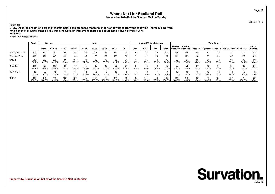#### **Prepared on behalf of the Scottish Mail on Sunday**

20 Sep 2014

**Table 12 Q10D. All three pro-Union parties at Westminster have proposed the transfer of new powers to Holyrood following Thursday's No vote.Which of the following areas do you think the Scottish Parliament should or should not be given control over?**

#### **Pensions**

|                       | Total         |               | Gender        |                  |               |               | Age           |               |               |              |             | <b>Holyrood Voting Intention</b> |             |              |               |              |                 |             | <b>Ward Group</b> |                                                                                    |               |              |
|-----------------------|---------------|---------------|---------------|------------------|---------------|---------------|---------------|---------------|---------------|--------------|-------------|----------------------------------|-------------|--------------|---------------|--------------|-----------------|-------------|-------------------|------------------------------------------------------------------------------------|---------------|--------------|
|                       |               | Male          | Female        | 16-24            | 25-34         | 35-44         | 45-54         | 55-64         | 65-74         | $75+$        | <b>CON</b>  | LAB                              | LD          | <b>SNP</b>   | West of       | Central      |                 |             |                   | Scotland Scotland Glasgow Highlands Lothian   Mid Scotland   North East   Scotland |               | South        |
| Unweighted Total      | 870           | 380           | 487           | 64               | 50            | 80            | 272           | 212           | 137           | 55           | 61          | 137                              | 19          | 205          | 119           | 118          | 95              | 90          | 133               | 117                                                                                | 115           | 83           |
| <b>Weighted Total</b> | 869           | 421           | 445           | 123              | 133           | 145           | 157           | 133           | 126           | 50           | 53          | 131                              | 14          | 197          | 111           | 129          | 98              | 80          | 139               | 107                                                                                | 123           | 82           |
| Should                | 540<br>62.1%  | 258<br>61.3%  | 280<br>62.8%  | 89<br>71.8%      | 107<br>80.2%  | 99<br>67.7%   | 92<br>58.9%   | 57.6%         | 52<br>41.2%   | 24<br>48.0%  | 32.7%       | 50.1%                            | 28.3%       | 178<br>90.4% | 66<br>59.3%   | 94<br>73.3%  | 63<br>64.0%     | 51<br>63.8% | 72<br>52.0%       | 64<br>59.9%                                                                        | 79<br>64.1%   | 50<br>61.4%  |
| Should not            | 244<br>28.1%  | 127<br>30.2%  | 117<br>26.2%  | 23<br>18.9%      | 11.9%         | 31<br>21.5%   | 45<br>28.9%   | 35.6%         | 60<br>47.3%   | 21<br>41.4%  | 31<br>57.8% | 42.4%                            | 67.5%       | 7.5%         | 33<br>29.6%   | 22<br>17.0%  | 26<br>26.1%     | 16<br>19.5% | 55<br>39.3%       | 31<br>29.1%                                                                        | 38<br>31.0%   | 24<br>29.2%  |
| Don't Know            | 86<br>9.9%    | 36<br>8.6%    | 49<br>11.0%   | 9.3%             | 7.9%          | 16<br>10.8%   | 19<br>12.2%   | 6.8%          | 11.5%         | 10.6%        | 9.5%        | 7.5%                             | 4.1%        | 2.1%         | 12<br>11.1%   | 13<br>9.7%   | 10<br>9.9%      | 13<br>16.7% | 8.7%              | 12<br>11.1%                                                                        | b<br>4.9%     | 9.4%         |
| <b>SIGMA</b>          | 869<br>100.0% | 421<br>100.0% | 445<br>100.0% | 123<br>$100.0\%$ | 133<br>100.0% | 145<br>'00.0% | 157<br>100.0% | 133<br>100.0% | 126<br>100.0% | 50<br>100.0% | 53<br>00.0% | 00.0%                            | 14<br>00.0% | 197<br>00.0% | 111<br>100.0% | 129<br>00.0% | 98<br>$100.0\%$ | 80<br>00.0% | 139<br>100.0%     | 107<br>100.0%                                                                      | 123<br>100.0% | 82<br>100.0% |

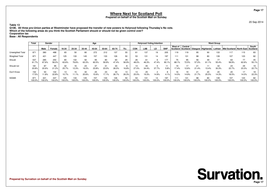#### **Prepared on behalf of the Scottish Mail on Sunday**

20 Sep 2014

**Table 13 Q10E. All three pro-Union parties at Westminster have proposed the transfer of new powers to Holyrood following Thursday's No vote.Which of the following areas do you think the Scottish Parliament should or should not be given control over?**

**Corporation tax**

|                       | Total        | Gender        |              |               |               |               | Age           |               |               |              |              | <b>Holyrood Voting Intention</b> |             |                  |               |              |              |              | <b>Ward Group</b> |                                                                                            |               |              |
|-----------------------|--------------|---------------|--------------|---------------|---------------|---------------|---------------|---------------|---------------|--------------|--------------|----------------------------------|-------------|------------------|---------------|--------------|--------------|--------------|-------------------|--------------------------------------------------------------------------------------------|---------------|--------------|
|                       |              | Male          | Female       | 16-24         | 25-34         | 35-44         | 45-54         | 55-64         | 65-74         | $75+$        | <b>CON</b>   | LAB                              | LD          | <b>SNP</b>       | West of       | Central      |              |              |                   | Scotland   Scotland   Glasgow   Highlands   Lothian   Mid Scotland   North East   Scotland |               | South        |
| Unweighted Total      | 871          | 380           | 488          | 65            | 50            | 80            | 272           | 212           | 137           | 55           | 61           | 137                              | 19          | 205              | 119           | 119          | 95           | 90           | 133               | 117                                                                                        | 115           | 83           |
| <b>Weighted Total</b> | 871          | 421           | 447          | 125           | 133           | 145           | 157           | 133           | 126           | 50           | 53           | 131                              | 14          | 197              | 111           | 131          | 98           | 80           | 139               | 107                                                                                        | 123           | 82           |
| Should                | 537<br>61.7% | 285<br>67.6%  | 250<br>56.0% | 80<br>63.6%   | 102<br>76.6%  | 92<br>63.3%   | 95<br>60.5%   | 80<br>59.9%   | 60<br>47.4%   | 29<br>56.9%  | 26<br>48.0%  | 46.3%                            | 47.4%       | 177<br>90.1%     | 75<br>68.1%   | 95<br>72.5%  | 56<br>57.0%  | 49<br>61.1%  | 55.4%             | 63<br>58.9%                                                                                | 77<br>62.6%   | 45<br>55.1%  |
| Should not            | 181<br>20.8% | 87<br>20.6%   | 95<br>21.2%  | 32<br>25.7%   | 16<br>12.3%   | 23<br>16.0%   | 37<br>23.8%   | 31<br>23.0%   | 33<br>26.0%   | 16.8%        | 27.0%        | 45<br>34.4%                      | 37.7%       | 5.8%             | 19<br>17.4%   | 12.6%        | 21<br>21.4%  | 13.4%        | 42<br>30.3%       | 24<br>22.7%                                                                                | 29<br>23.3%   | 22.7%        |
| Don't Know            | 152<br>17.5% | 50<br>11.8%   | 102<br>22.8% | 10.7%         | 15<br>11.1%   | 30<br>20.6%   | 25<br>15.6%   | 23<br>17.1%   | 34<br>26.7%   | 13<br>26.3%  | 13<br>25.0%  | 25<br>19.3%                      | 14.9%       | 4.1%             | 16<br>14.5%   | 19<br>14.9%  | 21<br>21.7%  | 20<br>25.5%  | 20<br>14.3%       | 20<br>18.5%                                                                                | 17<br>14.0%   | 22.3%        |
| <b>SIGMA</b>          | 87<br>100.0% | 421<br>100.0% | 447<br>00.0% | 125<br>100.0% | 133<br>100.0% | 145<br>100.0% | 157<br>100.0% | 133<br>100.0% | 126<br>100.0% | 50<br>100.0% | 53<br>100.0% | 131<br>100.0%                    | 14<br>00.0% | 197<br>$100.0\%$ | 111<br>100.0% | 131<br>00.0% | 98<br>100.0% | 80<br>100.0% | 139<br>100.0%     | 107<br>100.0%                                                                              | 123<br>100.0% | 82<br>100.0% |

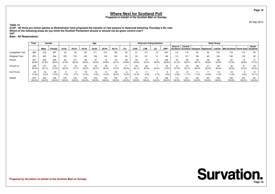20 Sep 2014

**Table 14 Q10F. All three pro-Union parties at Westminster have proposed the transfer of new powers to Holyrood following Thursday's No vote.Which of the following areas do you think the Scottish Parliament should or should not be given control over?**

#### **VAT**

|                         | <b>Total</b>  | Gender        |              | Age           |               |               |               |               |               |              |              | <b>Holyrood Voting Intention</b> |             |              | <b>Ward Group</b> |              |              |                                     |               |                                                |               |              |  |  |
|-------------------------|---------------|---------------|--------------|---------------|---------------|---------------|---------------|---------------|---------------|--------------|--------------|----------------------------------|-------------|--------------|-------------------|--------------|--------------|-------------------------------------|---------------|------------------------------------------------|---------------|--------------|--|--|
|                         |               | Male          | Female       | 16-24         | 25-34         | 35-44         | 45-54         | 55-64         | 65-74         | $75+$        | <b>CON</b>   | LAB                              | LD          | <b>SNP</b>   | West of           | Central      |              | Scotland Scotland Glasgow Highlands |               | Lothian   Mid Scotland   North East   Scotland |               | South        |  |  |
| <b>Unweighted Total</b> | 869           | 379           | 487          | 65            | 50            | 80            | 271           | 212           | 136           | 55           |              | 137                              | 19          | 204          | 118               | 119          | 95           | 90                                  | 133           | 116                                            | 115           | 83           |  |  |
| <b>Weighted Total</b>   | 870           | 420           | 446          | 125           | 133           | 145           | 156           | 133           | 125           | 50           | 53           | 131                              | 14          | 196          | 110               | 131          | 98           | 80                                  | 139           | 106                                            | 123           | 82           |  |  |
| Should                  | 527<br>60.6%  | 260<br>61.8%  | 265<br>59.4% | 85<br>67.6%   | 107<br>80.6%  | 86<br>58.9%   | 97<br>62.0%   | 72<br>53.8%   | 53<br>42.1%   | 28<br>54.8%  | 22<br>40.6%  | 43.4%                            | 43.0%       | 168<br>85.8% | 67<br>61.3%       | 83<br>63.7%  | 59<br>59.7%  | 48<br>59.8%                         | 88<br>63.0%   | 62<br>57.9%                                    | 73<br>59.8%   | 47<br>57.0%  |  |  |
| Should not              | 248<br>28.5%  | 127<br>30.1%  | 122<br>27.2% | 31<br>25.0%   | 18<br>13.7%   | 42<br>29.0%   | 45<br>28.7%   | 36.0%         | 47<br>37.4%   | 33.2%        | 26<br>49.1%  | 63<br>48.5%                      | 50.4%       | 20<br>10.3%  | 31<br>27.9%       | 33<br>25.1%  | 28<br>28.9%  | 21<br>26.4%                         | 36<br>26.0%   | 32<br>30.6%                                    | 41<br>33.3%   | 25<br>30.9%  |  |  |
| Don't Know              | 94<br>10.9%   | 34<br>8.0%    | 60<br>13.4%  | 7.5%          | 5.7%          | 18<br>12.2%   | 15<br>9.3%    | 10.2%         | 26<br>20.5%   | 12.0%        | 10.3%        | 8.2%                             | 6.7%        | 3.9%         | 12<br>10.8%       | 15<br>11.1%  | 11<br>11.3%  | 13.8%                               | 11.0%         | 12<br>11.5%                                    | 8<br>6.9%     | 12.1%        |  |  |
| <b>SIGMA</b>            | 870<br>100.0% | 420<br>100.0% | 446<br>00.0% | 125<br>100.0% | 133<br>100.0% | 145<br>100.0% | 156<br>100.0% | 133<br>100.0% | 125<br>100.0% | 50<br>100.0% | 53<br>100.0% | 131<br>100.0%                    | 14<br>00.0% | 196<br>00.0% | 110<br>100.0%     | 131<br>00.0% | 98<br>100.0% | 80<br>100.0%                        | 139<br>100.0% | 106<br>100.0%                                  | 123<br>100.0% | 82<br>100.0% |  |  |

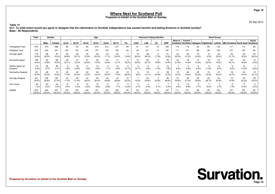20 Sep 2014

 **Q11. To what extent would you agree or disagree that the referendum on Scottish independence has caused harmful and lasting divisions in Scottish society?Base : All Respondents**

|                               | <b>Total</b>  | Gender        |              |              |              |              | Age          |              |              |             |              | <b>Holyrood Voting Intention</b> |                         |              | <b>Ward Group</b>   |                     |              |                   |               |                                                |               |              |  |  |
|-------------------------------|---------------|---------------|--------------|--------------|--------------|--------------|--------------|--------------|--------------|-------------|--------------|----------------------------------|-------------------------|--------------|---------------------|---------------------|--------------|-------------------|---------------|------------------------------------------------|---------------|--------------|--|--|
|                               |               | Male          | Female       | 16-24        | 25-34        | 35-44        | 45-54        | 55-64        | 65-74        | $75+$       | <b>CON</b>   | LAB                              | LD                      | <b>SNP</b>   | West of<br>Scotland | Central<br>Scotland |              | Glasgow Highlands |               | Lothian   Mid Scotland   North East   Scotland |               | South        |  |  |
| Unweighted Total              | 870           | 379           | 488          | 65           | 50           | 80           | 272          | 212          | 137          | 54          | 61           | 137                              | 19                      | 205          | 119                 | 119                 | 95           | 90                | 133           | 117                                            | 114           | 83           |  |  |
| <b>Weighted Total</b>         | 870           | 420           | 447          | 125          | 133          | 145          | 157          | 133          | 126          | 49          | 53           | 131                              | 14                      | 197          | 111                 | 131                 | 98           | 80                | 139           | 107                                            | 122           | 82           |  |  |
| Strongly agree                | 173<br>19.9%  | 86<br>20.5%   | 87<br>19.4%  | 26<br>20.8%  | 28<br>20.7%  | 22<br>15.0%  | 36<br>23.0%  | 23<br>17.1%  | 32<br>25.2%  | 13.6%       | 19<br>36.4%  | 38<br>29.2%                      | $\overline{2}$<br>17.5% | 21<br>10.8%  | 22<br>20.0%         | 28<br>21.5%         | 18<br>18.4%  | 8<br>9.5%         | 32<br>23.0%   | 23<br>21.7%                                    | 20<br>16.5%   | 22<br>26.4%  |  |  |
| Somewhat agree                | 169<br>19.4%  | 83<br>19.8%   | 86<br>19.2%  | 38<br>30.1%  | 21<br>15.4%  | 37<br>25.6%  | 23<br>14.5%  | 24<br>18.3%  | 17<br>13.7%  | 9<br>18.2%  | 13<br>23.6%  | 30<br>22.7%                      | 19.9%                   | 29<br>14.9%  | 24<br>21.8%         | 19<br>14.9%         | 14<br>14.6%  | 18<br>22.4%       | 27<br>19.5%   | 34<br>32.1%                                    | 24<br>19.8%   | 9.2%         |  |  |
| Neither agree nor<br>disagree | 73<br>8.4%    | 36<br>8.7%    | 36<br>8.1%   | 4.8%         | 18<br>13.9%  | 11<br>7.6%   | 10<br>6.6%   | 7.1%         | 12<br>9.6%   | 10.7%       | 12.1%        | 5.8%                             | 11.6%                   | 15<br>7.8%   | 6.5%                | 6.9%                | 6.5%         | 11.6%             | 13<br>9.0%    | 8.2%                                           | 12<br>10.0%   | 8.9%         |  |  |
| Somewhat disagree             | 161<br>18.5%  | 85<br>20.3%   | 74<br>16.5%  | 22<br>17.6%  | 30<br>22.4%  | 22<br>15.2%  | 25<br>16.0%  | 27<br>20.0%  | 22<br>17.6%  | 13<br>26.5% | 9.6%         | 18<br>14.1%                      | 25.9%                   | 28<br>14.3%  | 15<br>13.2%         | 26<br>19.6%         | 20<br>20.2%  | 15<br>19.3%       | 31<br>22.0%   | 18<br>16.7%                                    | 24<br>19.4%   | 13<br>16.1%  |  |  |
| Strongly disagree             | 231<br>26.5%  | 108<br>25.6%  | 122<br>27.4% | 22<br>17.4%  | 29<br>21.4%  | 44<br>30.0%  | 48<br>30.4%  | 45<br>33.8%  | 34<br>26.8%  | 10<br>20.5% | 13.6%        | 32<br>24.8%                      | 20.9%                   | 96<br>48.8%  | 37<br>33.9%         | 36<br>27.4%         | 35<br>35.6%  | 23<br>28.7%       | 32<br>22.8%   | 15<br>13.9%                                    | 25<br>20.3%   | 28<br>34.2%  |  |  |
| Don't know                    | 64<br>7.3%    | 22<br>5.2%    | 42<br>9.4%   | 12<br>9.3%   | 8<br>6.2%    | 10<br>6.6%   | 15<br>9.6%   | 3.8%         | q<br>7.1%    | 10.5%       | 4.7%         | 3.4%                             | 4.1%                    | 3.4%         | 4.6%                | 13<br>9.8%          | 4.7%         | 8.5%              | 3.7%          | 7.4%                                           | 17<br>13.9%   | 5.2%         |  |  |
| <b>SIGMA</b>                  | 870<br>100.0% | 420<br>100.0% | 447<br>00.09 | 125<br>00.0% | 133<br>00.0% | 145<br>00.0% | 157<br>00.0% | 133<br>00.0% | 126<br>00.0% | 49<br>00.0% | 53<br>100.0% | 131<br>00.0%                     | 14<br>00.0%             | 197<br>00.0% | 111<br>100.0%       | 131<br>00.0%        | 98<br>100.0% | 80<br>100.0%      | 139<br>100.0% | 107<br>100.0%                                  | 122<br>100.0% | 82<br>100.0% |  |  |

### **Table 15**

**Prepared by Survation on behalf of the Scottish Mail on Sunday**

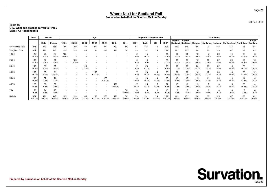**Page 20**

20 Sep 2014

### **Where Next for Scotland Poll Prepared on behalf of the Scottish Mail on Sunday**

#### **Table 16 Q12. What age bracket do you fall into?Base : All Respondents**

|                       | Total         | Gender        |               |               |               |               | Age           |               |               |                                    |                        | <b>Holyrood Voting Intention</b> |                                                      |               |                     |               |              |                                | <b>Ward Group</b> |               |               |                   |
|-----------------------|---------------|---------------|---------------|---------------|---------------|---------------|---------------|---------------|---------------|------------------------------------|------------------------|----------------------------------|------------------------------------------------------|---------------|---------------------|---------------|--------------|--------------------------------|-------------------|---------------|---------------|-------------------|
|                       |               | Male          | Female        | 16-24         | 25-34         | 35-44         | 45-54         | 55-64         | 65-74         | $75+$                              | <b>CON</b>             | LAB                              | LD                                                   | <b>SNP</b>    | West of<br>Scotland | Central       |              | Scotland   Glasgow   Highlands | Lothian           | Mid Scotland  | North East    | South<br>Scotland |
| Unweighted Total      | 871           | 380           | 488           | 65            | 50            | 80            | 272           | 212           | 137           | 55                                 | 61                     | 137                              | 19                                                   | 205           | 119                 | 119           | 95           | 90                             | 133               | 117           | 115           | 83                |
| <b>Weighted Total</b> | 871           | 421           | 447           | 125           | 133           | 145           | 157           | 133           | 126           | 50                                 | 53                     | 131                              | 14                                                   | 197           | 111                 | 131           | 98           | 80                             | 139               | 107           | 123           | 82                |
| 16-24                 | 125<br>14.4%  | 78<br>18.6%   | 47<br>10.5%   | 125<br>100.0% |               |               |               |               |               | $\overline{\phantom{a}}$           | $\overline{2}$<br>3.6% | 15<br>11.7%                      | $\overline{\phantom{a}}$<br>$\overline{\phantom{a}}$ | 24<br>12.1%   | 20<br>18.5%         | 20<br>15.5%   | 13<br>13.6%  | 8.8%                           | 26<br>18.4%       | 14<br>13.2%   | 17<br>13.8%   | 9.2%              |
| 25-34                 | 133<br>15.3%  | 67<br>15.9%   | 66<br>14.8%   |               | 133<br>100.0% |               |               |               |               | $\overline{\phantom{a}}$           | ರಿ<br>9.8%             | 10 <sup>1</sup><br>7.9%          | $\overline{\phantom{a}}$<br>$\overline{\phantom{a}}$ | 26<br>13.4%   | 15<br>14.0%         | 17<br>13.0%   | 16<br>16.0%  | 10<br>12.8%                    | 22<br>15.5%       | 20<br>18.3%   | 17<br>14.1%   | 16<br>19.9%       |
| 35-44                 | 145<br>16.7%  | 60<br>14.4%   | 85<br>19.0%   |               |               | 145<br>100.0% |               |               |               | $\sim$                             | $\overline{2}$<br>3.3% | 26<br>20.1%                      | $\overline{\phantom{a}}$<br>$\overline{\phantom{a}}$ | 33<br>16.9%   | 12<br>11.1%         | 27<br>21.0%   | 20<br>20.1%  | 18<br>23.1%                    | 22<br>15.9%       | 15<br>13.8%   | 20<br>16.0%   | 11<br>13.3%       |
| 45-54                 | 157<br>18.0%  | 65<br>15.3%   | 91<br>20.3%   |               |               |               | 157<br>100.0% |               |               | $\overline{\phantom{a}}$           | 13.5%                  | 23<br>17.4%                      | 26.1%                                                | 38<br>19.3%   | 22<br>20.0%         | 23<br>17.4%   | 16<br>15.8%  | 17<br>21.7%                    | 23<br>16.2%       | 18<br>17.0%   | 26<br>21.2%   | 12<br>14.8%       |
| 55-64                 | 133<br>15.3%  | 57<br>13.5%   | 76<br>17.1%   |               |               |               |               | 133<br>100.0% |               | $\sim$<br>$\overline{\phantom{a}}$ | 10<br>19.6%            | 23<br>17.4%                      | 27.0%                                                | 35<br>17.6%   | 19<br>16.8%         | 17<br>13.4%   | 15<br>15.0%  | 11<br>14.0%                    | 24<br>17.2%       | 19<br>17.8%   | 14<br>11.1%   | 14<br>17.7%       |
| 65-74                 | 126<br>14.5%  | 69<br>16.5%   | 57<br>12.8%   |               |               |               |               |               | 126<br>100.0% | $\overline{\phantom{a}}$<br>$\sim$ | 17<br>32.3%            | 25<br>19.1%                      | 40.2%                                                | 31<br>15.8%   | 15<br>13.8%         | 19<br>14.5%   | 15<br>15.5%  | 9.3%                           | 18<br>12.7%       | 15<br>14.2%   | 20<br>16.5%   | 16<br>19.8%       |
| $75+$                 | 50<br>5.8%    | 24<br>5.8%    | 25<br>5.6%    |               |               |               |               |               |               | 50<br>100.0%                       | 10<br>17.9%            | 6.5%                             | 6.7%                                                 | 10<br>5.0%    | 6<br>5.8%           | 5.2%          | 4<br>3.9%    | 10.4%                          | 4.1%              | 6<br>5.6%     | 9<br>7.3%     | 5.2%              |
| <b>SIGMA</b>          | 871<br>100.0% | 421<br>100.0% | 447<br>100.0% | 125<br>100.0% | 133<br>100.0% | 145<br>100.0% | 157<br>100.0% | 133<br>100.0% | 126<br>100.0% | 50<br>100.0%                       | 53<br>100.0%           | 131<br>100.0%                    | 14<br>100.0%                                         | 197<br>100.0% | 111<br>100.0%       | 131<br>100.0% | 98<br>100.0% | 80<br>100.0%                   | 139<br>100.0%     | 107<br>100.0% | 123<br>100.0% | 82<br>100.0%      |

# **Survation.**

**Prepared by Survation on behalf of the Scottish Mail on Sunday**